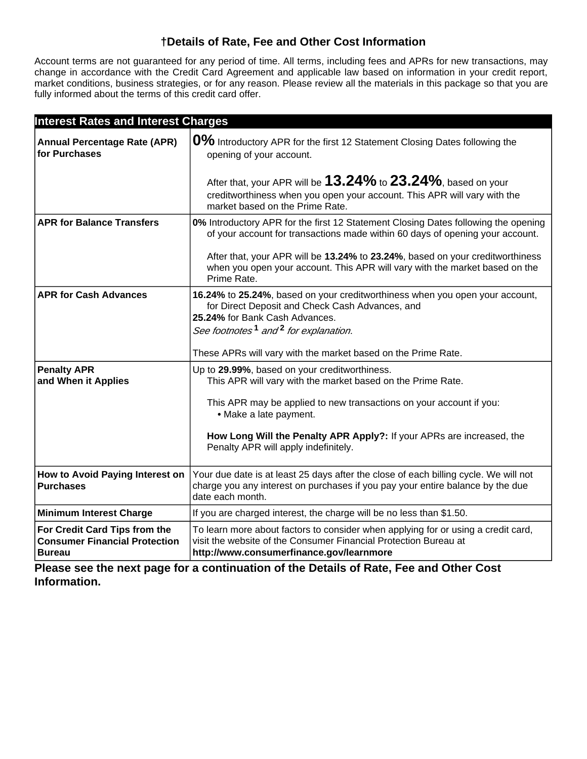# **†Details of Rate, Fee and Other Cost Information**

Account terms are not guaranteed for any period of time. All terms, including fees and APRs for new transactions, may change in accordance with the Credit Card Agreement and applicable law based on information in your credit report, market conditions, business strategies, or for any reason. Please review all the materials in this package so that you are fully informed about the terms of this credit card offer.

| <b>Interest Rates and Interest Charges</b>                                             |                                                                                                                                                                                                                                   |
|----------------------------------------------------------------------------------------|-----------------------------------------------------------------------------------------------------------------------------------------------------------------------------------------------------------------------------------|
| <b>Annual Percentage Rate (APR)</b><br>for Purchases                                   | 0% Introductory APR for the first 12 Statement Closing Dates following the<br>opening of your account.                                                                                                                            |
|                                                                                        | After that, your APR will be $13.24\%$ to $23.24\%$ , based on your<br>creditworthiness when you open your account. This APR will vary with the<br>market based on the Prime Rate.                                                |
| <b>APR for Balance Transfers</b>                                                       | 0% Introductory APR for the first 12 Statement Closing Dates following the opening<br>of your account for transactions made within 60 days of opening your account.                                                               |
|                                                                                        | After that, your APR will be 13.24% to 23.24%, based on your creditworthiness<br>when you open your account. This APR will vary with the market based on the<br>Prime Rate.                                                       |
| <b>APR for Cash Advances</b>                                                           | 16.24% to 25.24%, based on your creditworthiness when you open your account,<br>for Direct Deposit and Check Cash Advances, and<br>25.24% for Bank Cash Advances.<br>See footnotes <sup>1</sup> and <sup>2</sup> for explanation. |
|                                                                                        | These APRs will vary with the market based on the Prime Rate.                                                                                                                                                                     |
| <b>Penalty APR</b><br>and When it Applies                                              | Up to 29.99%, based on your creditworthiness.<br>This APR will vary with the market based on the Prime Rate.<br>This APR may be applied to new transactions on your account if you:                                               |
|                                                                                        | • Make a late payment.                                                                                                                                                                                                            |
|                                                                                        | How Long Will the Penalty APR Apply?: If your APRs are increased, the<br>Penalty APR will apply indefinitely.                                                                                                                     |
| How to Avoid Paying Interest on<br><b>Purchases</b>                                    | Your due date is at least 25 days after the close of each billing cycle. We will not<br>charge you any interest on purchases if you pay your entire balance by the due<br>date each month.                                        |
| <b>Minimum Interest Charge</b>                                                         | If you are charged interest, the charge will be no less than \$1.50.                                                                                                                                                              |
| For Credit Card Tips from the<br><b>Consumer Financial Protection</b><br><b>Bureau</b> | To learn more about factors to consider when applying for or using a credit card,<br>visit the website of the Consumer Financial Protection Bureau at<br>http://www.consumerfinance.gov/learnmore                                 |

**Please see the next page for a continuation of the Details of Rate, Fee and Other Cost Information.**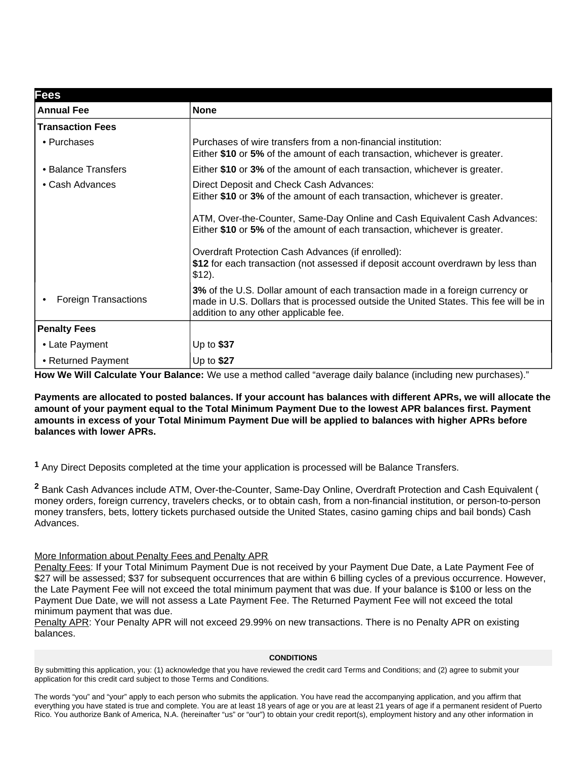| <b>Fees</b>                 |                                                                                                                                                                                                                                  |
|-----------------------------|----------------------------------------------------------------------------------------------------------------------------------------------------------------------------------------------------------------------------------|
| <b>Annual Fee</b>           | <b>None</b>                                                                                                                                                                                                                      |
| <b>Transaction Fees</b>     |                                                                                                                                                                                                                                  |
| • Purchases                 | Purchases of wire transfers from a non-financial institution:<br>Either \$10 or 5% of the amount of each transaction, whichever is greater.                                                                                      |
| • Balance Transfers         | Either \$10 or 3% of the amount of each transaction, whichever is greater.                                                                                                                                                       |
| • Cash Advances             | Direct Deposit and Check Cash Advances:<br>Either \$10 or 3% of the amount of each transaction, whichever is greater.<br>ATM, Over-the-Counter, Same-Day Online and Cash Equivalent Cash Advances:                               |
|                             | Either \$10 or 5% of the amount of each transaction, whichever is greater.<br>Overdraft Protection Cash Advances (if enrolled):<br>\$12 for each transaction (not assessed if deposit account overdrawn by less than<br>$$12$ ). |
| <b>Foreign Transactions</b> | 3% of the U.S. Dollar amount of each transaction made in a foreign currency or<br>made in U.S. Dollars that is processed outside the United States. This fee will be in<br>addition to any other applicable fee.                 |
| <b>Penalty Fees</b>         |                                                                                                                                                                                                                                  |
| • Late Payment              | Up to $$37$                                                                                                                                                                                                                      |
| • Returned Payment          | Up to $$27$                                                                                                                                                                                                                      |

**How We Will Calculate Your Balance:** We use a method called "average daily balance (including new purchases)."

**Payments are allocated to posted balances. If your account has balances with different APRs, we will allocate the amount of your payment equal to the Total Minimum Payment Due to the lowest APR balances first. Payment amounts in excess of your Total Minimum Payment Due will be applied to balances with higher APRs before balances with lower APRs.**

Any Direct Deposits completed at the time your application is processed will be Balance Transfers. **<sup>1</sup>**

<sup>2</sup> Bank Cash Advances include ATM, Over-the-Counter, Same-Day Online, Overdraft Protection and Cash Equivalent ( money orders, foreign currency, travelers checks, or to obtain cash, from a non-financial institution, or person-to-person money transfers, bets, lottery tickets purchased outside the United States, casino gaming chips and bail bonds) Cash Advances.

## More Information about Penalty Fees and Penalty APR

Penalty Fees: If your Total Minimum Payment Due is not received by your Payment Due Date, a Late Payment Fee of \$27 will be assessed; \$37 for subsequent occurrences that are within 6 billing cycles of a previous occurrence. However, the Late Payment Fee will not exceed the total minimum payment that was due. If your balance is \$100 or less on the Payment Due Date, we will not assess a Late Payment Fee. The Returned Payment Fee will not exceed the total minimum payment that was due.

Penalty APR: Your Penalty APR will not exceed 29.99% on new transactions. There is no Penalty APR on existing balances.

## **CONDITIONS**

By submitting this application, you: (1) acknowledge that you have reviewed the credit card Terms and Conditions; and (2) agree to submit your application for this credit card subject to those Terms and Conditions.

The words "you" and "your" apply to each person who submits the application. You have read the accompanying application, and you affirm that everything you have stated is true and complete. You are at least 18 years of age or you are at least 21 years of age if a permanent resident of Puerto Rico. You authorize Bank of America, N.A. (hereinafter "us" or "our") to obtain your credit report(s), employment history and any other information in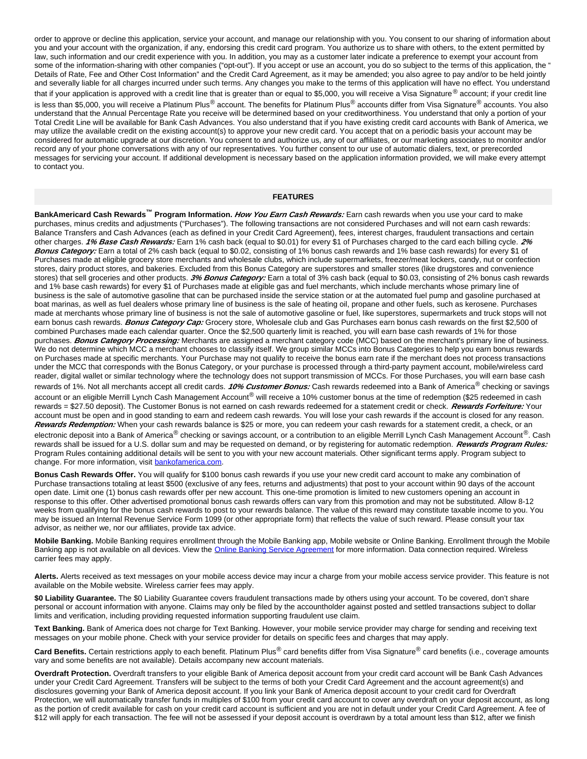order to approve or decline this application, service your account, and manage our relationship with you. You consent to our sharing of information about you and your account with the organization, if any, endorsing this credit card program. You authorize us to share with others, to the extent permitted by law, such information and our credit experience with you. In addition, you may as a customer later indicate a preference to exempt your account from some of the information-sharing with other companies ("opt-out"). If you accept or use an account, you do so subject to the terms of this application, the " Details of Rate, Fee and Other Cost Information" and the Credit Card Agreement, as it may be amended; you also agree to pay and/or to be held jointly and severally liable for all charges incurred under such terms. Any changes you make to the terms of this application will have no effect. You understand that if your application is approved with a credit line that is greater than or equal to \$5,000, you will receive a Visa Signature<sup>®</sup> account; if your credit line is less than \$5,000, you will receive a Platinum Plus® account. The benefits for Platinum Plus<sup>®</sup> accounts differ from Visa Signature<sup>®</sup> accounts. You also understand that the Annual Percentage Rate you receive will be determined based on your creditworthiness. You understand that only a portion of your Total Credit Line will be available for Bank Cash Advances. You also understand that if you have existing credit card accounts with Bank of America, we may utilize the available credit on the existing account(s) to approve your new credit card. You accept that on a periodic basis your account may be considered for automatic upgrade at our discretion. You consent to and authorize us, any of our affiliates, or our marketing associates to monitor and/or record any of your phone conversations with any of our representatives. You further consent to our use of automatic dialers, text, or prerecorded messages for servicing your account. If additional development is necessary based on the application information provided, we will make every attempt to contact you.

#### **FEATURES**

**BankAmericard Cash Rewards™ Program Information. How You Earn Cash Rewards:** Earn cash rewards when you use your card to make purchases, minus credits and adjustments ("Purchases"). The following transactions are not considered Purchases and will not earn cash rewards: Balance Transfers and Cash Advances (each as defined in your Credit Card Agreement), fees, interest charges, fraudulent transactions and certain other charges. **1% Base Cash Rewards:** Earn 1% cash back (equal to \$0.01) for every \$1 of Purchases charged to the card each billing cycle. **2% Bonus Category:** Earn a total of 2% cash back (equal to \$0.02, consisting of 1% bonus cash rewards and 1% base cash rewards) for every \$1 of Purchases made at eligible grocery store merchants and wholesale clubs, which include supermarkets, freezer/meat lockers, candy, nut or confection stores, dairy product stores, and bakeries. Excluded from this Bonus Category are superstores and smaller stores (like drugstores and convenience stores) that sell groceries and other products. **3% Bonus Category:** Earn a total of 3% cash back (equal to \$0.03, consisting of 2% bonus cash rewards and 1% base cash rewards) for every \$1 of Purchases made at eligible gas and fuel merchants, which include merchants whose primary line of business is the sale of automotive gasoline that can be purchased inside the service station or at the automated fuel pump and gasoline purchased at boat marinas, as well as fuel dealers whose primary line of business is the sale of heating oil, propane and other fuels, such as kerosene. Purchases made at merchants whose primary line of business is not the sale of automotive gasoline or fuel, like superstores, supermarkets and truck stops will not earn bonus cash rewards. **Bonus Category Cap:** Grocery store, Wholesale club and Gas Purchases earn bonus cash rewards on the first \$2,500 of combined Purchases made each calendar quarter. Once the \$2,500 quarterly limit is reached, you will earn base cash rewards of 1% for those purchases. **Bonus Category Processing:** Merchants are assigned a merchant category code (MCC) based on the merchant's primary line of business. We do not determine which MCC a merchant chooses to classify itself. We group similar MCCs into Bonus Categories to help you earn bonus rewards on Purchases made at specific merchants. Your Purchase may not qualify to receive the bonus earn rate if the merchant does not process transactions under the MCC that corresponds with the Bonus Category, or your purchase is processed through a third-party payment account, mobile/wireless card reader, digital wallet or similar technology where the technology does not support transmission of MCCs. For those Purchases, you will earn base cash rewards of 1%. Not all merchants accept all credit cards. *10% Customer Bonus:* Cash rewards redeemed into a Bank of America<sup>®</sup> checking or savings account or an eligible Merrill Lynch Cash Management Account<sup>®</sup> will receive a 10% customer bonus at the time of redemption (\$25 redeemed in cash rewards = \$27.50 deposit). The Customer Bonus is not earned on cash rewards redeemed for a statement credit or check. **Rewards Forfeiture:** Your account must be open and in good standing to earn and redeem cash rewards. You will lose your cash rewards if the account is closed for any reason. **Rewards Redemption:** When your cash rewards balance is \$25 or more, you can redeem your cash rewards for a statement credit, a check, or an electronic deposit into a Bank of America® checking or savings account, or a contribution to an eligible Merrill Lynch Cash Management Account®. Cash rewards shall be issued for a U.S. dollar sum and may be requested on demand, or by registering for automatic redemption. **Rewards Program Rules:** Program Rules containing additional details will be sent to you with your new account materials. Other significant terms apply. Program subject to change. For more information, visit bankofamerica.com.

**Bonus Cash Rewards Offer.** You will qualify for \$100 bonus cash rewards if you use your new credit card account to make any combination of Purchase transactions totaling at least \$500 (exclusive of any fees, returns and adjustments) that post to your account within 90 days of the account open date. Limit one (1) bonus cash rewards offer per new account. This one-time promotion is limited to new customers opening an account in response to this offer. Other advertised promotional bonus cash rewards offers can vary from this promotion and may not be substituted. Allow 8-12 weeks from qualifying for the bonus cash rewards to post to your rewards balance. The value of this reward may constitute taxable income to you. You may be issued an Internal Revenue Service Form 1099 (or other appropriate form) that reflects the value of such reward. Please consult your tax advisor, as neither we, nor our affiliates, provide tax advice.

**Mobile Banking.** Mobile Banking requires enrollment through the Mobile Banking app, Mobile website or Online Banking. Enrollment through the Mobile Banking app is not available on all devices. View the **Online Banking Service Agreement** for more information. Data connection required. Wireless carrier fees may apply.

**Alerts.** Alerts received as text messages on your mobile access device may incur a charge from your mobile access service provider. This feature is not available on the Mobile website. Wireless carrier fees may apply.

\$0 Liability Guarantee. The \$0 Liability Guarantee covers fraudulent transactions made by others using your account. To be covered, don't share personal or account information with anyone. Claims may only be filed by the accountholder against posted and settled transactions subject to dollar limits and verification, including providing requested information supporting fraudulent use claim.

**Text Banking.** Bank of America does not charge for Text Banking. However, your mobile service provider may charge for sending and receiving text messages on your mobile phone. Check with your service provider for details on specific fees and charges that may apply.

Card Benefits. Certain restrictions apply to each benefit. Platinum Plus<sup>®</sup> card benefits differ from Visa Signature<sup>®</sup> card benefits (i.e., coverage amounts vary and some benefits are not available). Details accompany new account materials.

**Overdraft Protection.** Overdraft transfers to your eligible Bank of America deposit account from your credit card account will be Bank Cash Advances under your Credit Card Agreement. Transfers will be subject to the terms of both your Credit Card Agreement and the account agreement(s) and disclosures governing your Bank of America deposit account. If you link your Bank of America deposit account to your credit card for Overdraft Protection, we will automatically transfer funds in multiples of \$100 from your credit card account to cover any overdraft on your deposit account, as long as the portion of credit available for cash on your credit card account is sufficient and you are not in default under your Credit Card Agreement. A fee of \$12 will apply for each transaction. The fee will not be assessed if your deposit account is overdrawn by a total amount less than \$12, after we finish